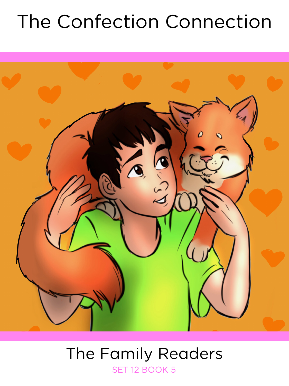# The Confection Connection



### The Family Readers SET 12 BOOK 5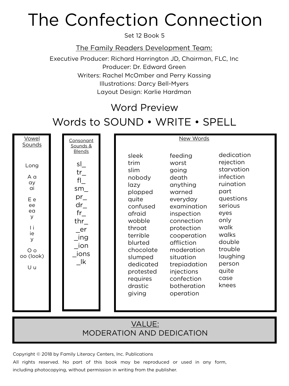# The Confection Connection

Set 12 Book 5

The Family Readers Development Team:

Executive Producer: Richard Harrington JD, Chairman, FLC, Inc Producer: Dr. Edward Green Writers: Rachel McOmber and Perry Kassing Illustrations: Darcy Bell-Myers Layout Design: Karlie Hardman

### Word Preview

### Words to SOUND • WRITE • SPELL

| Vowel                       | Consonant                    |                      | New Words                |                         |
|-----------------------------|------------------------------|----------------------|--------------------------|-------------------------|
| Sounds                      | Sounds &<br><b>Blends</b>    |                      |                          |                         |
|                             |                              | sleek                | feeding                  | dedication              |
| Long                        | $S_{-}$                      | trim                 | worst                    | rejection<br>starvation |
| A a                         | $tr_{-}$                     | slim<br>nobody       | going<br>death           | infection               |
| ay                          | $f _$                        | lazy                 | anything                 | ruination               |
| ai                          | $sm_{-}$                     | plopped              | warned                   | part                    |
| E e                         | $pr_{-}$                     | quite                | everyday                 | questions               |
| ee<br>ea                    | $dr_{-}$                     | confused             | examination              | serious                 |
| $\mathsf{y}$                | $fr_{-}$<br>thr $\_$         | afraid<br>wobble     | inspection<br>connection | eyes<br>only            |
| Τi                          | _er                          | throat               | protection               | walk                    |
| ie<br>$\mathsf{y}$          | _ing                         | terrible             | cooperation              | walks                   |
|                             | $\overline{\phantom{a}}$ ion | blurted              | affliction               | double                  |
| O <sub>O</sub><br>oo (look) | ions                         | chocolate            | moderation<br>situation  | trouble<br>laughing     |
|                             | lk k                         | slumped<br>dedicated | trepiadation             | person                  |
| Uu                          |                              | protested            | injections               | quite                   |
|                             |                              | requires             | confection               | case                    |
|                             |                              | drastic              | botheration              | knees                   |
|                             |                              | giving               | operation                |                         |
|                             |                              |                      |                          |                         |
|                             |                              |                      |                          |                         |

#### VALUE: MODERATION AND DEDICATION

Copyright © 2018 by Family Literacy Centers, Inc. Publications

All rights reserved. No part of this book may be reproduced or used in any form, including photocopying, without permission in writing from the publisher.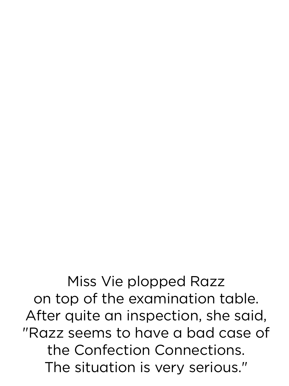Miss Vie plopped Razz on top of the examination table. After quite an inspection, she said, "Razz seems to have a bad case of the Confection Connections. The situation is very serious."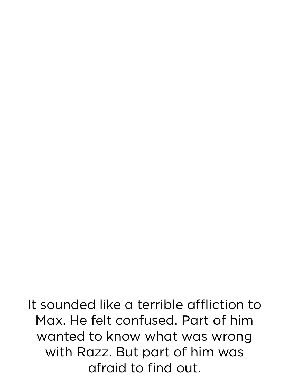It sounded like a terrible affliction to Max. He felt confused. Part of him wanted to know what was wrong with Razz. But part of him was afraid to find out.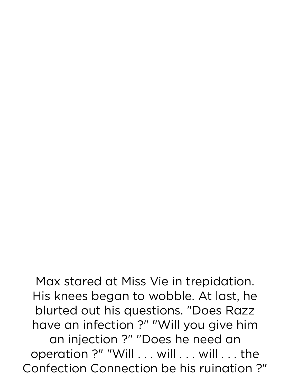Max stared at Miss Vie in trepidation. His knees began to wobble. At last, he blurted out his questions. "Does Razz have an infection ?" "Will you give him an injection ?" "Does he need an operation ?" "Will . . . will . . . will . . . the Confection Connection be his ruination ?"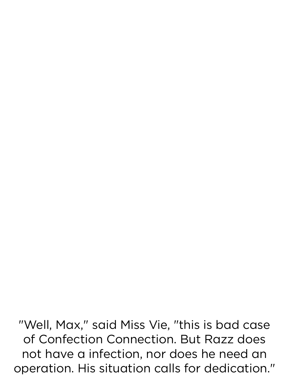"Well, Max," said Miss Vie, "this is bad case of Confection Connection. But Razz does not have a infection, nor does he need an operation. His situation calls for dedication."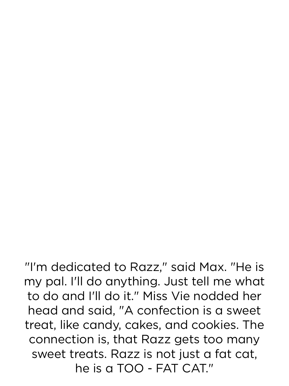"I'm dedicated to Razz," said Max. "He is my pal. I'll do anything. Just tell me what to do and I'll do it." Miss Vie nodded her head and said, "A confection is a sweet treat, like candy, cakes, and cookies. The connection is, that Razz gets too many sweet treats. Razz is not just a fat cat, he is a TOO - FAT CAT."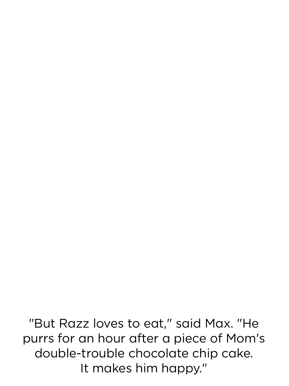"But Razz loves to eat," said Max. "He purrs for an hour after a piece of Mom's double-trouble chocolate chip cake. It makes him happy."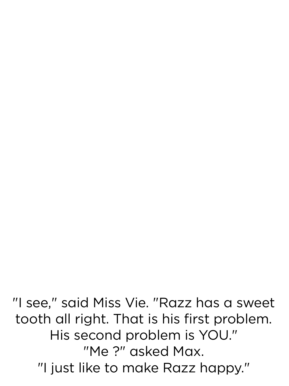"I see," said Miss Vie. "Razz has a sweet tooth all right. That is his first problem. His second problem is YOU." "Me ?" asked Max. "I just like to make Razz happy."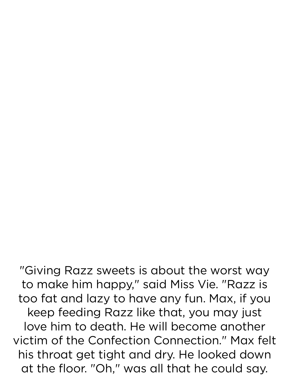"Giving Razz sweets is about the worst way to make him happy," said Miss Vie. "Razz is too fat and lazy to have any fun. Max, if you keep feeding Razz like that, you may just love him to death. He will become another victim of the Confection Connection." Max felt his throat get tight and dry. He looked down at the floor. "Oh," was all that he could say.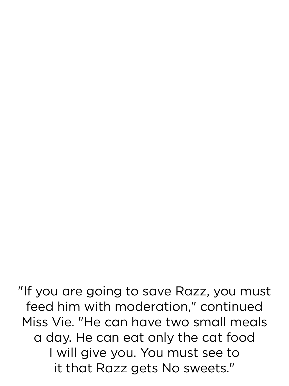"If you are going to save Razz, you must feed him with moderation," continued Miss Vie. "He can have two small meals a day. He can eat only the cat food I will give you. You must see to it that Razz gets No sweets."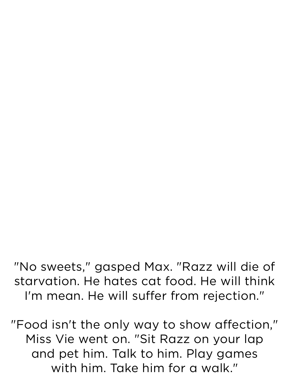"No sweets," gasped Max. "Razz will die of starvation. He hates cat food. He will think I'm mean. He will suffer from rejection."

"Food isn't the only way to show affection," Miss Vie went on. "Sit Razz on your lap and pet him. Talk to him. Play games with him. Take him for a walk."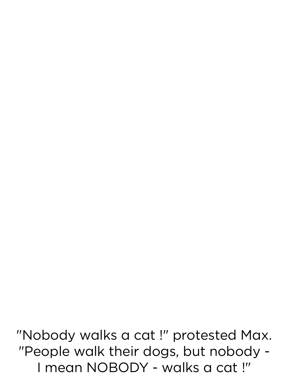"Nobody walks a cat !" protested Max. "People walk their dogs, but nobody - I mean NOBODY - walks a cat !"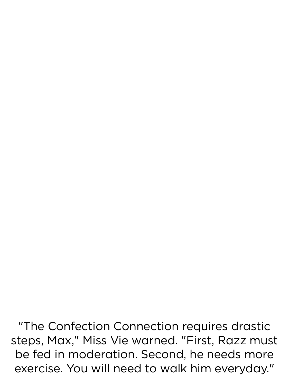"The Confection Connection requires drastic steps, Max," Miss Vie warned. "First, Razz must be fed in moderation. Second, he needs more exercise. You will need to walk him everyday."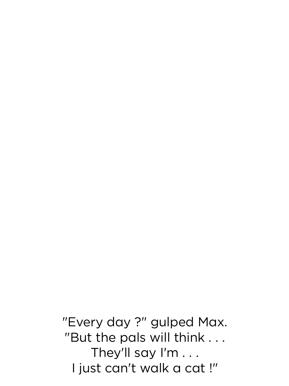"Every day ?" gulped Max. "But the pals will think . . . They'll say I'm . . . I just can't walk a cat !"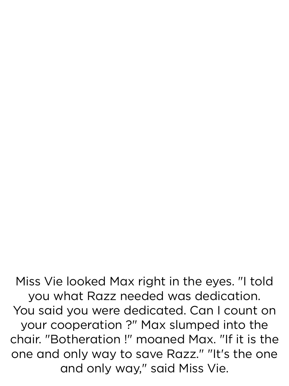Miss Vie looked Max right in the eyes. "I told you what Razz needed was dedication. You said you were dedicated. Can I count on your cooperation ?" Max slumped into the chair. "Botheration !" moaned Max. "If it is the one and only way to save Razz." "It's the one and only way," said Miss Vie.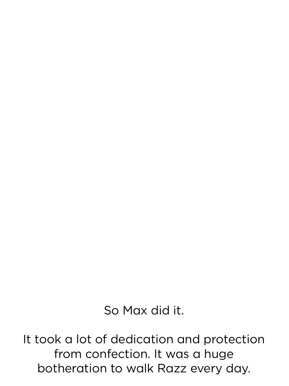So Max did it.

It took a lot of dedication and protection from confection. It was a huge botheration to walk Razz every day.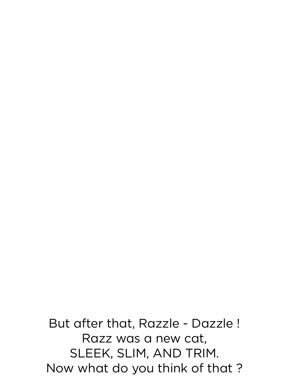But after that, Razzle - Dazzle ! Razz was a new cat, SLEEK, SLIM, AND TRIM. Now what do you think of that ?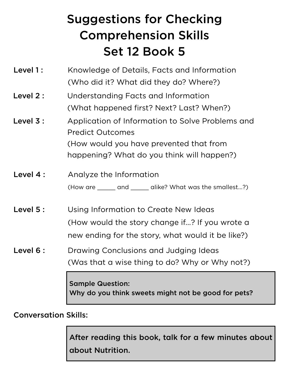## Suggestions for Checking Comprehension Skills Set 12 Book 5

- Level 1: Knowledge of Details, Facts and Information (Who did it? What did they do? Where?)
- Level 2: Understanding Facts and Information (What happened first? Next? Last? When?)
- Level 3: Application of Information to Solve Problems and Predict Outcomes (How would you have prevented that from happening? What do you think will happen?)
- Level 4 : Analyze the Information (How are \_\_\_\_\_ and \_\_\_\_\_ alike? What was the smallest...?)
- Level 5 : Using Information to Create New Ideas (How would the story change if...? If you wrote a new ending for the story, what would it be like?)
- Level 6 : Drawing Conclusions and Judging Ideas (Was that a wise thing to do? Why or Why not?)

Sample Question: Why do you think sweets might not be good for pets?

Conversation Skills:

After reading this book, talk for a few minutes about about Nutrition.